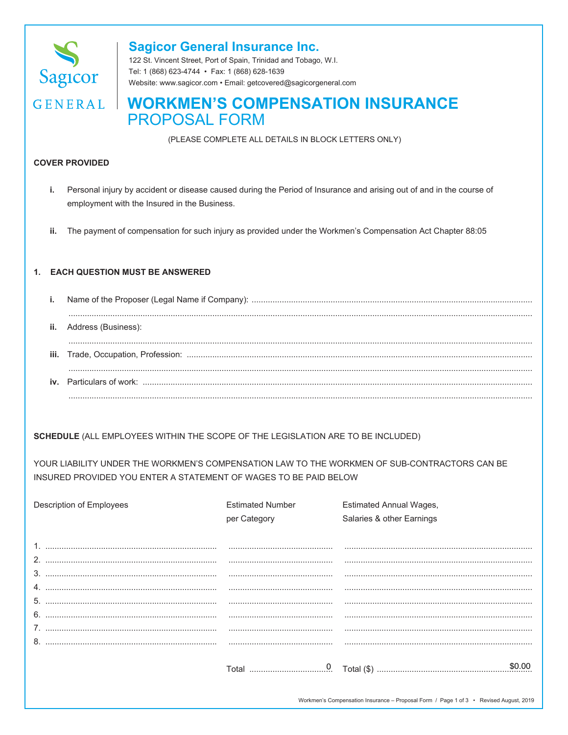

## **Sagicor General Insurance Inc.**

122 St. Vincent Street, Port of Spain, Trinidad and Tobago, W.I. Tel: 1 (868) 623-4744 · Fax: 1 (868) 628-1639 Website: www.sagicor.com · Email: getcovered@sagicorgeneral.com

# **GENERAL | WORKMEN'S COMPENSATION INSURANCE PROPOSAL FORM**

(PLEASE COMPLETE ALL DETAILS IN BLOCK LETTERS ONLY)

#### **COVER PROVIDED**

- Personal injury by accident or disease caused during the Period of Insurance and arising out of and in the course of i. employment with the Insured in the Business.
- ii. The payment of compensation for such injury as provided under the Workmen's Compensation Act Chapter 88:05

#### 1. EACH QUESTION MUST BE ANSWERED

| ii. Address (Business): |
|-------------------------|
|                         |
|                         |
|                         |

SCHEDULE (ALL EMPLOYEES WITHIN THE SCOPE OF THE LEGISLATION ARE TO BE INCLUDED)

YOUR LIABILITY UNDER THE WORKMEN'S COMPENSATION LAW TO THE WORKMEN OF SUB-CONTRACTORS CAN BE INSURED PROVIDED YOU ENTER A STATEMENT OF WAGES TO BE PAID BELOW

| Description of Employees                                                                                                                                                                                                                                                                                                                                                                                                                                                                       | <b>Estimated Number</b> | <b>Estimated Annual Wages,</b> |
|------------------------------------------------------------------------------------------------------------------------------------------------------------------------------------------------------------------------------------------------------------------------------------------------------------------------------------------------------------------------------------------------------------------------------------------------------------------------------------------------|-------------------------|--------------------------------|
|                                                                                                                                                                                                                                                                                                                                                                                                                                                                                                | per Category            | Salaries & other Earnings      |
|                                                                                                                                                                                                                                                                                                                                                                                                                                                                                                |                         |                                |
|                                                                                                                                                                                                                                                                                                                                                                                                                                                                                                |                         |                                |
|                                                                                                                                                                                                                                                                                                                                                                                                                                                                                                |                         |                                |
|                                                                                                                                                                                                                                                                                                                                                                                                                                                                                                |                         |                                |
|                                                                                                                                                                                                                                                                                                                                                                                                                                                                                                |                         |                                |
|                                                                                                                                                                                                                                                                                                                                                                                                                                                                                                |                         |                                |
|                                                                                                                                                                                                                                                                                                                                                                                                                                                                                                |                         |                                |
| $\begin{minipage}{0.5\textwidth} \begin{tabular}{l} \hline \textbf{0.01} \end{tabular} \end{minipage} \begin{minipage}{0.5\textwidth} \begin{tabular}{l} \hline \textbf{0.01} \end{tabular} \end{minipage} \end{minipage} \begin{minipage}{0.5\textwidth} \begin{tabular}{l} \hline \textbf{0.01} \end{tabular} \end{minipage} \end{minipage} \begin{minipage}{0.5\textwidth} \begin{tabular}{l} \hline \textbf{0.01} \end{tabular} \end{minipage} \end{minipage} \begin{minipage}{0.5\$<br>6. |                         |                                |
|                                                                                                                                                                                                                                                                                                                                                                                                                                                                                                |                         |                                |
|                                                                                                                                                                                                                                                                                                                                                                                                                                                                                                |                         |                                |
|                                                                                                                                                                                                                                                                                                                                                                                                                                                                                                |                         |                                |
|                                                                                                                                                                                                                                                                                                                                                                                                                                                                                                |                         | \$0.00                         |
|                                                                                                                                                                                                                                                                                                                                                                                                                                                                                                |                         |                                |
|                                                                                                                                                                                                                                                                                                                                                                                                                                                                                                |                         |                                |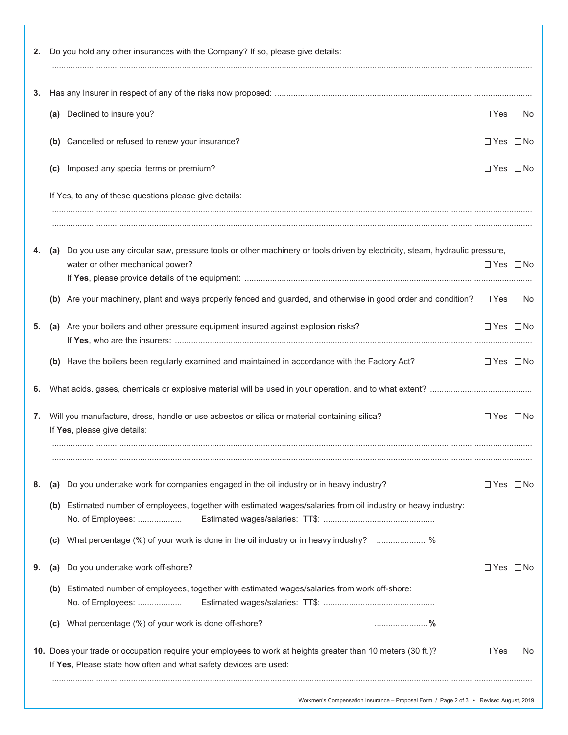| 3. |                                                                                                                                                                                  |                      |  |
|----|----------------------------------------------------------------------------------------------------------------------------------------------------------------------------------|----------------------|--|
|    | (a) Declined to insure you?                                                                                                                                                      | $\Box$ Yes $\Box$ No |  |
|    | (b) Cancelled or refused to renew your insurance?                                                                                                                                | $\Box$ Yes $\Box$ No |  |
|    | (c) Imposed any special terms or premium?                                                                                                                                        | $\Box$ Yes $\Box$ No |  |
|    | If Yes, to any of these questions please give details:                                                                                                                           |                      |  |
|    | (a) Do you use any circular saw, pressure tools or other machinery or tools driven by electricity, steam, hydraulic pressure,                                                    |                      |  |
|    | water or other mechanical power?                                                                                                                                                 | $\Box$ Yes $\Box$ No |  |
|    | (b) Are your machinery, plant and ways properly fenced and guarded, and otherwise in good order and condition? $\square$ Yes $\square$ No                                        |                      |  |
| 5. | Are your boilers and other pressure equipment insured against explosion risks?<br>(a)                                                                                            | $\Box$ Yes $\Box$ No |  |
|    | (b) Have the boilers been regularly examined and maintained in accordance with the Factory Act?                                                                                  | $\Box$ Yes $\Box$ No |  |
|    |                                                                                                                                                                                  |                      |  |
| 7. | Will you manufacture, dress, handle or use asbestos or silica or material containing silica?<br>If Yes, please give details:                                                     | $\Box$ Yes $\Box$ No |  |
| 8. | Do you undertake work for companies engaged in the oil industry or in heavy industry?<br>(a)                                                                                     | □ Yes □ No           |  |
|    | Estimated number of employees, together with estimated wages/salaries from oil industry or heavy industry:<br>(b)<br>No. of Employees:                                           |                      |  |
|    | What percentage (%) of your work is done in the oil industry or in heavy industry?  %<br>(C)                                                                                     |                      |  |
| 9. | Do you undertake work off-shore?<br>(a)                                                                                                                                          | □Yes □No             |  |
|    | Estimated number of employees, together with estimated wages/salaries from work off-shore:<br>(b)<br>No. of Employees:                                                           |                      |  |
|    | What percentage (%) of your work is done off-shore?<br>(C)                                                                                                                       |                      |  |
|    | 10. Does your trade or occupation require your employees to work at heights greater than 10 meters (30 ft.)?<br>If Yes, Please state how often and what safety devices are used: | $\Box$ Yes $\Box$ No |  |